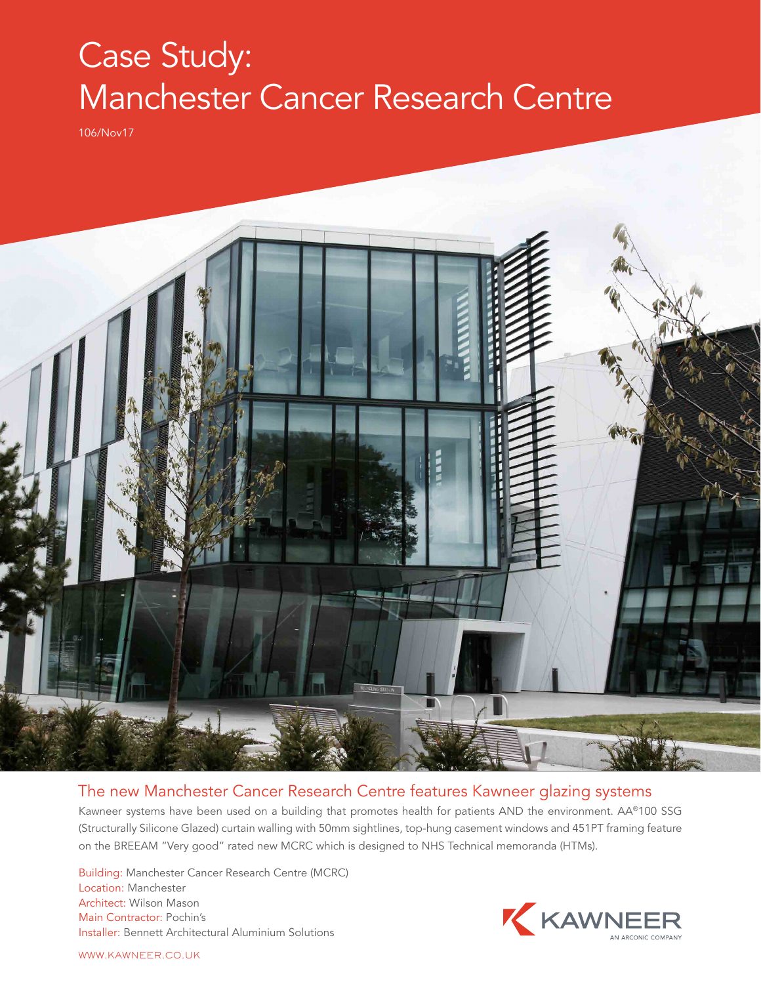## Case Study: Manchester Cancer Research Centre

106/Nov17



## The new Manchester Cancer Research Centre features Kawneer glazing systems

Kawneer systems have been used on a building that promotes health for patients AND the environment. AA®100 SSG (Structurally Silicone Glazed) curtain walling with 50mm sightlines, top-hung casement windows and 451PT framing feature on the BREEAM "Very good" rated new MCRC which is designed to NHS Technical memoranda (HTMs).

Building: Manchester Cancer Research Centre (MCRC) Location: Manchester Architect: Wilson Mason Main Contractor: Pochin's Installer: Bennett Architectural Aluminium Solutions



WWW.KAWNEER.CO.UK